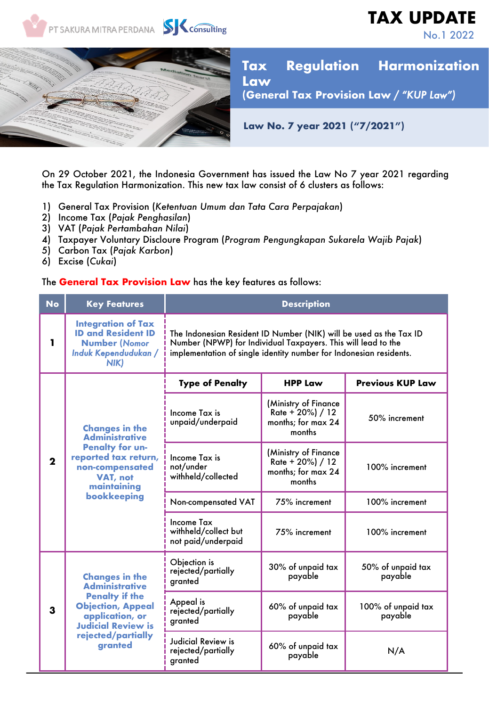

On 29 October 2021, the Indonesia Government has issued the Law No 7 year 2021 regarding the Tax Regulation Harmonization. This new tax law consist of 6 clusters as follows:

- 1) General Tax Provision (*Ketentuan Umum dan Tata Cara Perpajakan*)
- 2) Income Tax (*Pajak Penghasilan*)
- 3) VAT (*Pajak Pertambahan Nilai*)
- 4) Taxpayer Voluntary Discloure Program (*Program Pengungkapan Sukarela Wajib Pajak*)
- 5) Carbon Tax (*Pajak Karbon*)
- 6) Excise (*Cukai*)

## The **General Tax Provision Law** has the key features as follows:

| <b>No</b>    | <b>Key Features</b>                                                                                                                                                                  | <b>Description</b>                                                                                                                                                                                        |                                                                              |                               |
|--------------|--------------------------------------------------------------------------------------------------------------------------------------------------------------------------------------|-----------------------------------------------------------------------------------------------------------------------------------------------------------------------------------------------------------|------------------------------------------------------------------------------|-------------------------------|
| 1            | <b>Integration of Tax</b><br><b>ID and Resident ID</b><br><b>Number (Nomor</b><br>Induk Kependudukan /<br>NIK)                                                                       | The Indonesian Resident ID Number (NIK) will be used as the Tax ID<br>Number (NPWP) for Individual Taxpayers. This will lead to the<br>implementation of single identity number for Indonesian residents. |                                                                              |                               |
| $\mathbf{2}$ | <b>Changes in the</b><br><b>Administrative</b><br><b>Penalty for un-</b><br>reported tax return,<br>non-compensated<br>VAT, not<br>maintaining<br>bookkeeping                        | <b>Type of Penalty</b>                                                                                                                                                                                    | <b>HPP Law</b>                                                               | <b>Previous KUP Law</b>       |
|              |                                                                                                                                                                                      | Income Tax is<br>unpaid/underpaid                                                                                                                                                                         | (Ministry of Finance<br>Rate + $20\%$ ) / 12<br>months; for max 24<br>months | 50% increment                 |
|              |                                                                                                                                                                                      | Income Tax is<br>not/under<br>withheld/collected                                                                                                                                                          | (Ministry of Finance<br>$Rate + 20\%$ ) / 12<br>months; for max 24<br>months | 100% increment                |
|              |                                                                                                                                                                                      | Non-compensated VAT                                                                                                                                                                                       | 75% increment                                                                | 100% increment                |
|              |                                                                                                                                                                                      | <b>Income Tax</b><br>withheld/collect but<br>not paid/underpaid                                                                                                                                           | 75% increment                                                                | 100% increment                |
| 3            | <b>Changes in the</b><br><b>Administrative</b><br><b>Penalty if the</b><br><b>Objection, Appeal</b><br>application, or<br><b>Judicial Review is</b><br>rejected/partially<br>granted | Objection is<br>rejected/partially<br>granted                                                                                                                                                             | 30% of unpaid tax<br>payable                                                 | 50% of unpaid tax<br>payable  |
|              |                                                                                                                                                                                      | Appeal is<br>rejected/partially<br>granted                                                                                                                                                                | 60% of unpaid tax<br>payable                                                 | 100% of unpaid tax<br>payable |
|              |                                                                                                                                                                                      | Judicial Review is<br>rejected/partially<br>granted                                                                                                                                                       | 60% of unpaid tax<br>payable                                                 | N/A                           |